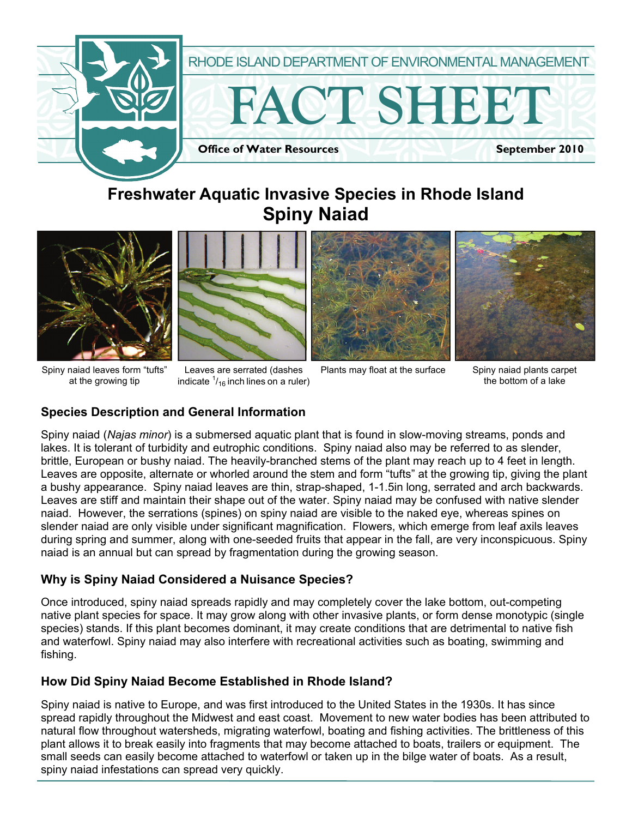

# **Freshwater Aquatic Invasive Species in Rhode Island Spiny Naiad**





Spiny naiad leaves form "tufts" at the growing tip

Leaves are serrated (dashes Plants may float at the surface indicate  $\frac{1}{16}$  inch lines on a ruler)





Spiny naiad plants carpet the bottom of a lake

## **Species Description and General Information**

Spiny naiad (*Najas minor*) is a submersed aquatic plant that is found in slow-moving streams, ponds and lakes. It is tolerant of turbidity and eutrophic conditions. Spiny naiad also may be referred to as slender, brittle, European or bushy naiad. The heavily-branched stems of the plant may reach up to 4 feet in length. Leaves are opposite, alternate or whorled around the stem and form "tufts" at the growing tip, giving the plant a bushy appearance. Spiny naiad leaves are thin, strap-shaped, 1-1.5in long, serrated and arch backwards. Leaves are stiff and maintain their shape out of the water. Spiny naiad may be confused with native slender naiad. However, the serrations (spines) on spiny naiad are visible to the naked eye, whereas spines on slender naiad are only visible under significant magnification. Flowers, which emerge from leaf axils leaves during spring and summer, along with one-seeded fruits that appear in the fall, are very inconspicuous. Spiny naiad is an annual but can spread by fragmentation during the growing season.

#### **Why is Spiny Naiad Considered a Nuisance Species?**

Once introduced, spiny naiad spreads rapidly and may completely cover the lake bottom, out-competing native plant species for space. It may grow along with other invasive plants, or form dense monotypic (single species) stands. If this plant becomes dominant, it may create conditions that are detrimental to native fish and waterfowl. Spiny naiad may also interfere with recreational activities such as boating, swimming and fishing.

## **How Did Spiny Naiad Become Established in Rhode Island?**

Spiny naiad is native to Europe, and was first introduced to the United States in the 1930s. It has since spread rapidly throughout the Midwest and east coast. Movement to new water bodies has been attributed to natural flow throughout watersheds, migrating waterfowl, boating and fishing activities. The brittleness of this plant allows it to break easily into fragments that may become attached to boats, trailers or equipment. The small seeds can easily become attached to waterfowl or taken up in the bilge water of boats. As a result, spiny naiad infestations can spread very quickly.